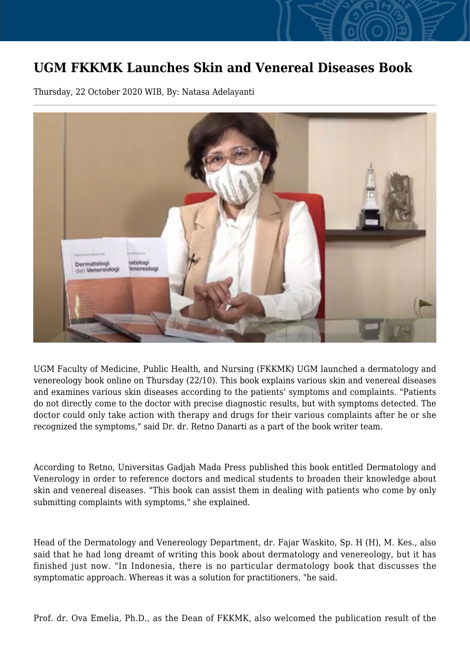## **UGM FKKMK Launches Skin and Venereal Diseases Book**

Thursday, 22 October 2020 WIB, By: Natasa Adelayanti



UGM Faculty of Medicine, Public Health, and Nursing (FKKMK) UGM launched a dermatology and venereology book online on Thursday (22/10). This book explains various skin and venereal diseases and examines various skin diseases according to the patients' symptoms and complaints. "Patients do not directly come to the doctor with precise diagnostic results, but with symptoms detected. The doctor could only take action with therapy and drugs for their various complaints after he or she recognized the symptoms," said Dr. dr. Retno Danarti as a part of the book writer team.

According to Retno, Universitas Gadjah Mada Press published this book entitled Dermatology and Venerology in order to reference doctors and medical students to broaden their knowledge about skin and venereal diseases. "This book can assist them in dealing with patients who come by only submitting complaints with symptoms," she explained.

Head of the Dermatology and Venereology Department, dr. Fajar Waskito, Sp. H (H), M. Kes., also said that he had long dreamt of writing this book about dermatology and venereology, but it has finished just now. "In Indonesia, there is no particular dermatology book that discusses the symptomatic approach. Whereas it was a solution for practitioners, "he said.

Prof. dr. Ova Emelia, Ph.D., as the Dean of FKKMK, also welcomed the publication result of the